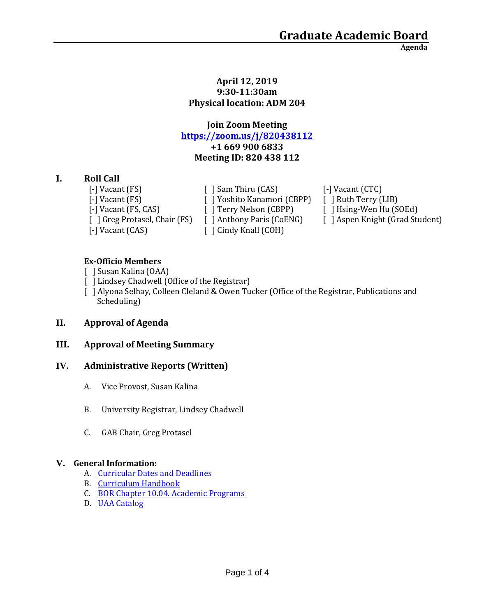**Agenda**

#### **April 12, 2019 9:30-11:30am Physical location: ADM 204**

# **Join Zoom Meeting <https://zoom.us/j/820438112> +1 669 900 6833 Meeting ID: 820 438 112**

# **I. Roll Call**

[-] Vacant (CAS) [ ] Cindy Knall (COH)

[-] Vacant (FS)  $\left[ \begin{array}{ccc} \end{array} \right]$  Sam Thiru (CAS)  $\left[ \begin{array}{ccc} - \end{array} \right]$  Vacant (CTC) [-] Vacant (FS) [ ] Yoshito Kanamori (CBPP) [ ] Ruth Terry (LIB) [-] Vacant (FS, CAS) [ ] Terry Nelson (CBPP) [ ] Hsing-Wen Hu (SOEd)

[ ] Greg Protasel, Chair (FS) [ ] Anthony Paris (CoENG) [ ] Aspen Knight (Grad Student)

## **Ex-Officio Members**

- [ ] Susan Kalina (OAA)
- [ ] Lindsey Chadwell (Office of the Registrar)
- [ ] Alyona Selhay, Colleen Cleland & Owen Tucker (Office of the Registrar, Publications and Scheduling)

# **II. Approval of Agenda**

# **III. Approval of Meeting Summary**

### **IV. Administrative Reports (Written)**

- A. Vice Provost, Susan Kalina
- B. University Registrar, Lindsey Chadwell
- C. GAB Chair, Greg Protasel

### **V. General Information:**

- A. [Curricular Dates and Deadlines](https://www.uaa.alaska.edu/academics/office-of-academic-affairs/dates-and-deadlines.cshtml)
- B. [Curriculum Handbook](https://www.uaa.alaska.edu/academics/office-of-academic-affairs/curriculum/_documents/Curriculum%20Handbook%202-9-18.pdf)
- C. [BOR Chapter 10.04. Academic Programs](https://www.alaska.edu/bor/policy/10-04.pdf)
- D. [UAA Catalog](https://www.uaa.alaska.edu/students/registrar/catalogs/index.cshtml)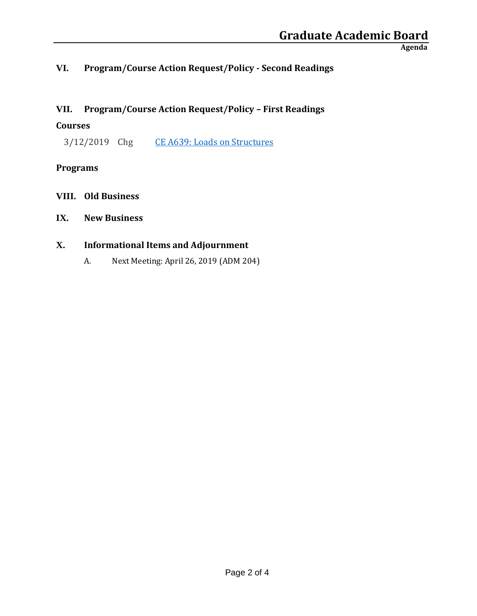**Agenda**

# **VI. Program/Course Action Request/Policy - Second Readings**

# **VII. Program/Course Action Request/Policy – First Readings**

## **Courses**

3/12/2019 Chg [CE A639: Loads on Structures](https://nextcatalog.uaa.alaska.edu/courseleaf/courseleaf.cgi?page=/courseadmin/1302/index.html&step=tcadiff)

# **Programs**

**VIII. Old Business**

# **IX. New Business**

# **X. Informational Items and Adjournment**

A. Next Meeting: April 26, 2019 (ADM 204)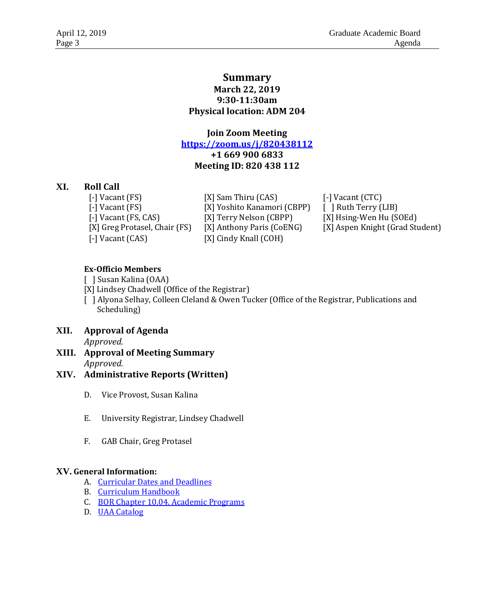## **Summary March 22, 2019 9:30-11:30am Physical location: ADM 204**

**Join Zoom Meeting <https://zoom.us/j/820438112> +1 669 900 6833 Meeting ID: 820 438 112**

### **XI. Roll Call**

[-] Vacant (FS) [X] Sam Thiru (CAS) [-] Vacant (CTC) [-] Vacant (CAS) [X] Cindy Knall (COH)

[-] Vacant (FS) [X] Yoshito Kanamori (CBPP) [ ] Ruth Terry (LIB) [-] Vacant (FS, CAS) [X] Terry Nelson (CBPP) [X] Hsing-Wen Hu (SOEd)

[X] Greg Protasel, Chair (FS) [X] Anthony Paris (CoENG) [X] Aspen Knight (Grad Student)

### **Ex-Officio Members**

- [ ] Susan Kalina (OAA)
- [X] Lindsey Chadwell (Office of the Registrar)

[ ] Alyona Selhay, Colleen Cleland & Owen Tucker (Office of the Registrar, Publications and Scheduling)

- **XII. Approval of Agenda** *Approved.*
- **XIII. Approval of Meeting Summary** *Approved.*

### **XIV. Administrative Reports (Written)**

- D. Vice Provost, Susan Kalina
- E. University Registrar, Lindsey Chadwell
- F. GAB Chair, Greg Protasel

### **XV. General Information:**

- A. [Curricular Dates and Deadlines](https://www.uaa.alaska.edu/academics/office-of-academic-affairs/dates-and-deadlines.cshtml)
- B. [Curriculum Handbook](https://www.uaa.alaska.edu/academics/office-of-academic-affairs/curriculum/_documents/Curriculum%20Handbook%202-9-18.pdf)
- C. [BOR Chapter 10.04. Academic Programs](https://www.alaska.edu/bor/policy/10-04.pdf)
- D. [UAA Catalog](https://www.uaa.alaska.edu/students/registrar/catalogs/index.cshtml)